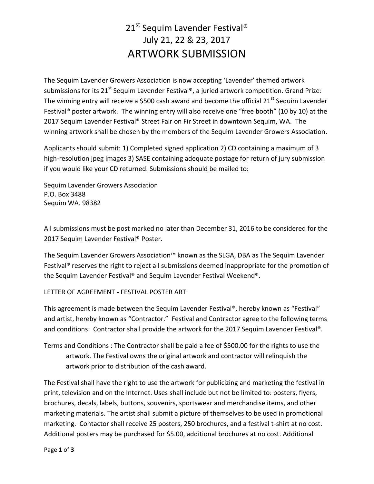## 21<sup>st</sup> Sequim Lavender Festival<sup>®</sup> July 21, 22 & 23, 2017 ARTWORK SUBMISSION

The Sequim Lavender Growers Association is now accepting 'Lavender' themed artwork submissions for its 21<sup>st</sup> Sequim Lavender Festival®, a juried artwork competition. Grand Prize: The winning entry will receive a \$500 cash award and become the official  $21^{st}$  Sequim Lavender Festival® poster artwork. The winning entry will also receive one "free booth" (10 by 10) at the 2017 Sequim Lavender Festival® Street Fair on Fir Street in downtown Sequim, WA. The winning artwork shall be chosen by the members of the Sequim Lavender Growers Association.

Applicants should submit: 1) Completed signed application 2) CD containing a maximum of 3 high-resolution jpeg images 3) SASE containing adequate postage for return of jury submission if you would like your CD returned. Submissions should be mailed to:

Sequim Lavender Growers Association P.O. Box 3488 Sequim WA. 98382

All submissions must be post marked no later than December 31, 2016 to be considered for the 2017 Sequim Lavender Festival® Poster.

The Sequim Lavender Growers Association™ known as the SLGA, DBA as The Sequim Lavender Festival® reserves the right to reject all submissions deemed inappropriate for the promotion of the Sequim Lavender Festival® and Sequim Lavender Festival Weekend®.

## LETTER OF AGREEMENT - FESTIVAL POSTER ART

This agreement is made between the Sequim Lavender Festival®, hereby known as "Festival" and artist, hereby known as "Contractor." Festival and Contractor agree to the following terms and conditions: Contractor shall provide the artwork for the 2017 Sequim Lavender Festival®.

Terms and Conditions : The Contractor shall be paid a fee of \$500.00 for the rights to use the artwork. The Festival owns the original artwork and contractor will relinquish the artwork prior to distribution of the cash award.

The Festival shall have the right to use the artwork for publicizing and marketing the festival in print, television and on the Internet. Uses shall include but not be limited to: posters, flyers, brochures, decals, labels, buttons, souvenirs, sportswear and merchandise items, and other marketing materials. The artist shall submit a picture of themselves to be used in promotional marketing. Contactor shall receive 25 posters, 250 brochures, and a festival t-shirt at no cost. Additional posters may be purchased for \$5.00, additional brochures at no cost. Additional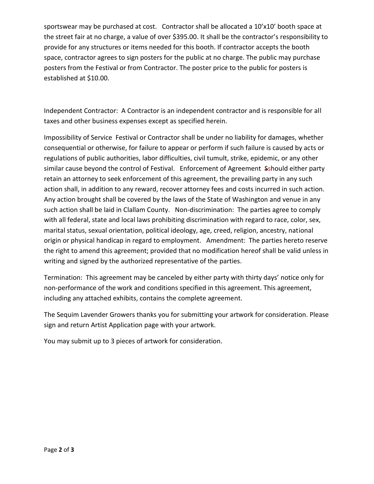sportswear may be purchased at cost. Contractor shall be allocated a 10'x10' booth space at the street fair at no charge, a value of over \$395.00. It shall be the contractor's responsibility to provide for any structures or items needed for this booth. If contractor accepts the booth space, contractor agrees to sign posters for the public at no charge. The public may purchase posters from the Festival or from Contractor. The poster price to the public for posters is established at \$10.00.

Independent Contractor: A Contractor is an independent contractor and is responsible for all taxes and other business expenses except as specified herein.

Impossibility of Service Festival or Contractor shall be under no liability for damages, whether consequential or otherwise, for failure to appear or perform if such failure is caused by acts or regulations of public authorities, labor difficulties, civil tumult, strike, epidemic, or any other similar cause beyond the control of Festival. Enforcement of Agreement Sshould either party retain an attorney to seek enforcement of this agreement, the prevailing party in any such action shall, in addition to any reward, recover attorney fees and costs incurred in such action. Any action brought shall be covered by the laws of the State of Washington and venue in any such action shall be laid in Clallam County. Non-discrimination: The parties agree to comply with all federal, state and local laws prohibiting discrimination with regard to race, color, sex, marital status, sexual orientation, political ideology, age, creed, religion, ancestry, national origin or physical handicap in regard to employment. Amendment: The parties hereto reserve the right to amend this agreement; provided that no modification hereof shall be valid unless in writing and signed by the authorized representative of the parties.

Termination: This agreement may be canceled by either party with thirty days' notice only for non-performance of the work and conditions specified in this agreement. This agreement, including any attached exhibits, contains the complete agreement.

The Sequim Lavender Growers thanks you for submitting your artwork for consideration. Please sign and return Artist Application page with your artwork.

You may submit up to 3 pieces of artwork for consideration.